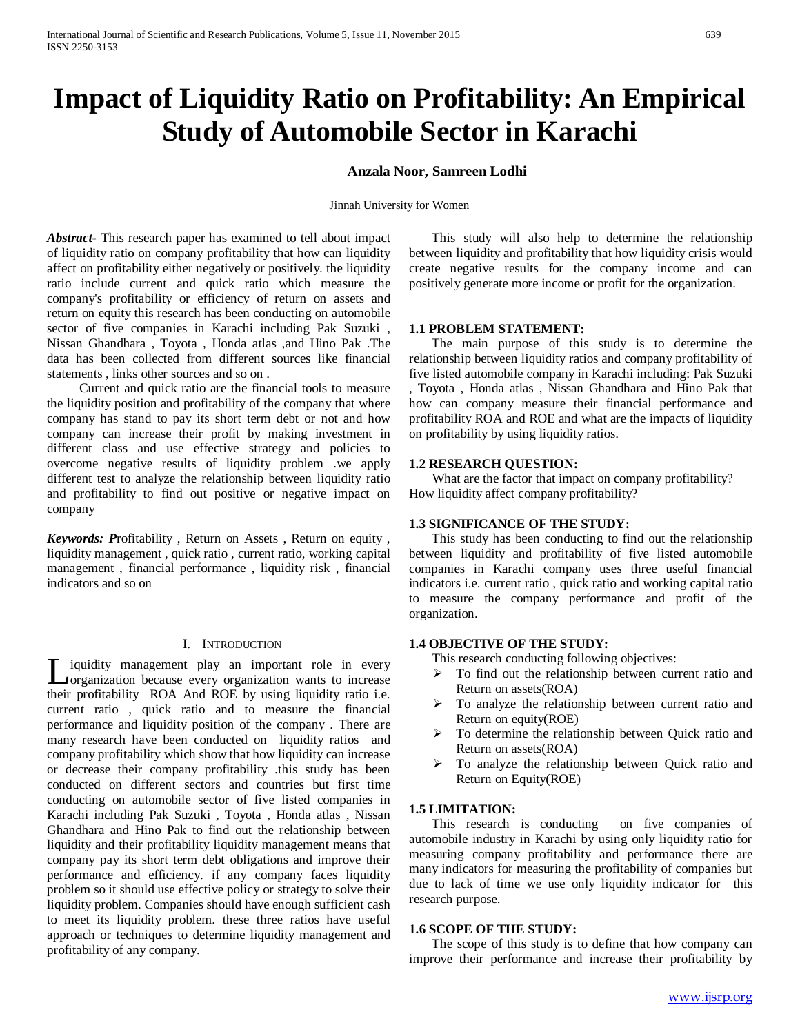# **Impact of Liquidity Ratio on Profitability: An Empirical Study of Automobile Sector in Karachi**

# **Anzala Noor, Samreen Lodhi**

Jinnah University for Women

*Abstract***-** This research paper has examined to tell about impact of liquidity ratio on company profitability that how can liquidity affect on profitability either negatively or positively. the liquidity ratio include current and quick ratio which measure the company's profitability or efficiency of return on assets and return on equity this research has been conducting on automobile sector of five companies in Karachi including Pak Suzuki , Nissan Ghandhara , Toyota , Honda atlas ,and Hino Pak .The data has been collected from different sources like financial statements , links other sources and so on .

 Current and quick ratio are the financial tools to measure the liquidity position and profitability of the company that where company has stand to pay its short term debt or not and how company can increase their profit by making investment in different class and use effective strategy and policies to overcome negative results of liquidity problem .we apply different test to analyze the relationship between liquidity ratio and profitability to find out positive or negative impact on company

*Keywords: P*rofitability , Return on Assets , Return on equity , liquidity management , quick ratio , current ratio, working capital management , financial performance , liquidity risk , financial indicators and so on

#### I. INTRODUCTION

iquidity management play an important role in every I iquidity management play an important role in every<br>
corganization because every organization wants to increase their profitability ROA And ROE by using liquidity ratio i.e. current ratio , quick ratio and to measure the financial performance and liquidity position of the company . There are many research have been conducted on liquidity ratios and company profitability which show that how liquidity can increase or decrease their company profitability .this study has been conducted on different sectors and countries but first time conducting on automobile sector of five listed companies in Karachi including Pak Suzuki , Toyota , Honda atlas , Nissan Ghandhara and Hino Pak to find out the relationship between liquidity and their profitability liquidity management means that company pay its short term debt obligations and improve their performance and efficiency. if any company faces liquidity problem so it should use effective policy or strategy to solve their liquidity problem. Companies should have enough sufficient cash to meet its liquidity problem. these three ratios have useful approach or techniques to determine liquidity management and profitability of any company.

 This study will also help to determine the relationship between liquidity and profitability that how liquidity crisis would create negative results for the company income and can positively generate more income or profit for the organization.

### **1.1 PROBLEM STATEMENT:**

 The main purpose of this study is to determine the relationship between liquidity ratios and company profitability of five listed automobile company in Karachi including: Pak Suzuki , Toyota , Honda atlas , Nissan Ghandhara and Hino Pak that how can company measure their financial performance and profitability ROA and ROE and what are the impacts of liquidity on profitability by using liquidity ratios.

#### **1.2 RESEARCH QUESTION:**

 What are the factor that impact on company profitability? How liquidity affect company profitability?

# **1.3 SIGNIFICANCE OF THE STUDY:**

 This study has been conducting to find out the relationship between liquidity and profitability of five listed automobile companies in Karachi company uses three useful financial indicators i.e. current ratio , quick ratio and working capital ratio to measure the company performance and profit of the organization.

#### **1.4 OBJECTIVE OF THE STUDY:**

This research conducting following objectives:

- $\triangleright$  To find out the relationship between current ratio and Return on assets(ROA)
- $\triangleright$  To analyze the relationship between current ratio and Return on equity(ROE)
- $\triangleright$  To determine the relationship between Quick ratio and Return on assets(ROA)
- $\triangleright$  To analyze the relationship between Quick ratio and Return on Equity(ROE)

#### **1.5 LIMITATION:**

 This research is conducting on five companies of automobile industry in Karachi by using only liquidity ratio for measuring company profitability and performance there are many indicators for measuring the profitability of companies but due to lack of time we use only liquidity indicator for this research purpose.

# **1.6 SCOPE OF THE STUDY:**

 The scope of this study is to define that how company can improve their performance and increase their profitability by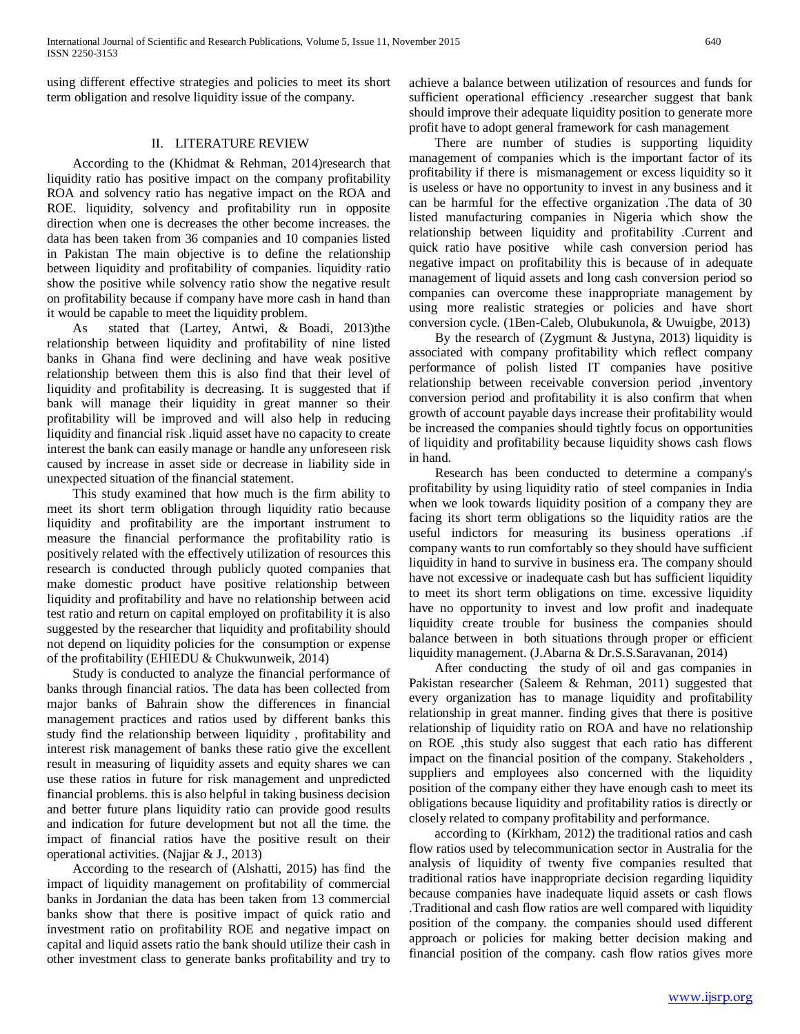using different effective strategies and policies to meet its short term obligation and resolve liquidity issue of the company.

#### II. LITERATURE REVIEW

 According to the (Khidmat & Rehman, 2014)research that liquidity ratio has positive impact on the company profitability ROA and solvency ratio has negative impact on the ROA and ROE. liquidity, solvency and profitability run in opposite direction when one is decreases the other become increases. the data has been taken from 36 companies and 10 companies listed in Pakistan The main objective is to define the relationship between liquidity and profitability of companies. liquidity ratio show the positive while solvency ratio show the negative result on profitability because if company have more cash in hand than it would be capable to meet the liquidity problem.

 As stated that (Lartey, Antwi, & Boadi, 2013)the relationship between liquidity and profitability of nine listed banks in Ghana find were declining and have weak positive relationship between them this is also find that their level of liquidity and profitability is decreasing. It is suggested that if bank will manage their liquidity in great manner so their profitability will be improved and will also help in reducing liquidity and financial risk .liquid asset have no capacity to create interest the bank can easily manage or handle any unforeseen risk caused by increase in asset side or decrease in liability side in unexpected situation of the financial statement.

 This study examined that how much is the firm ability to meet its short term obligation through liquidity ratio because liquidity and profitability are the important instrument to measure the financial performance the profitability ratio is positively related with the effectively utilization of resources this research is conducted through publicly quoted companies that make domestic product have positive relationship between liquidity and profitability and have no relationship between acid test ratio and return on capital employed on profitability it is also suggested by the researcher that liquidity and profitability should not depend on liquidity policies for the consumption or expense of the profitability (EHIEDU & Chukwunweik, 2014)

 Study is conducted to analyze the financial performance of banks through financial ratios. The data has been collected from major banks of Bahrain show the differences in financial management practices and ratios used by different banks this study find the relationship between liquidity , profitability and interest risk management of banks these ratio give the excellent result in measuring of liquidity assets and equity shares we can use these ratios in future for risk management and unpredicted financial problems. this is also helpful in taking business decision and better future plans liquidity ratio can provide good results and indication for future development but not all the time. the impact of financial ratios have the positive result on their operational activities. (Najjar & J., 2013)

 According to the research of (Alshatti, 2015) has find the impact of liquidity management on profitability of commercial banks in Jordanian the data has been taken from 13 commercial banks show that there is positive impact of quick ratio and investment ratio on profitability ROE and negative impact on capital and liquid assets ratio the bank should utilize their cash in other investment class to generate banks profitability and try to

achieve a balance between utilization of resources and funds for sufficient operational efficiency .researcher suggest that bank should improve their adequate liquidity position to generate more profit have to adopt general framework for cash management

 There are number of studies is supporting liquidity management of companies which is the important factor of its profitability if there is mismanagement or excess liquidity so it is useless or have no opportunity to invest in any business and it can be harmful for the effective organization .The data of 30 listed manufacturing companies in Nigeria which show the relationship between liquidity and profitability .Current and quick ratio have positive while cash conversion period has negative impact on profitability this is because of in adequate management of liquid assets and long cash conversion period so companies can overcome these inappropriate management by using more realistic strategies or policies and have short conversion cycle. (1Ben-Caleb, Olubukunola, & Uwuigbe, 2013)

 By the research of (Zygmunt & Justyna, 2013) liquidity is associated with company profitability which reflect company performance of polish listed IT companies have positive relationship between receivable conversion period ,inventory conversion period and profitability it is also confirm that when growth of account payable days increase their profitability would be increased the companies should tightly focus on opportunities of liquidity and profitability because liquidity shows cash flows in hand.

 Research has been conducted to determine a company's profitability by using liquidity ratio of steel companies in India when we look towards liquidity position of a company they are facing its short term obligations so the liquidity ratios are the useful indictors for measuring its business operations .if company wants to run comfortably so they should have sufficient liquidity in hand to survive in business era. The company should have not excessive or inadequate cash but has sufficient liquidity to meet its short term obligations on time. excessive liquidity have no opportunity to invest and low profit and inadequate liquidity create trouble for business the companies should balance between in both situations through proper or efficient liquidity management. (J.Abarna & Dr.S.S.Saravanan, 2014)

 After conducting the study of oil and gas companies in Pakistan researcher (Saleem & Rehman, 2011) suggested that every organization has to manage liquidity and profitability relationship in great manner. finding gives that there is positive relationship of liquidity ratio on ROA and have no relationship on ROE ,this study also suggest that each ratio has different impact on the financial position of the company. Stakeholders , suppliers and employees also concerned with the liquidity position of the company either they have enough cash to meet its obligations because liquidity and profitability ratios is directly or closely related to company profitability and performance.

 according to (Kirkham, 2012) the traditional ratios and cash flow ratios used by telecommunication sector in Australia for the analysis of liquidity of twenty five companies resulted that traditional ratios have inappropriate decision regarding liquidity because companies have inadequate liquid assets or cash flows .Traditional and cash flow ratios are well compared with liquidity position of the company. the companies should used different approach or policies for making better decision making and financial position of the company. cash flow ratios gives more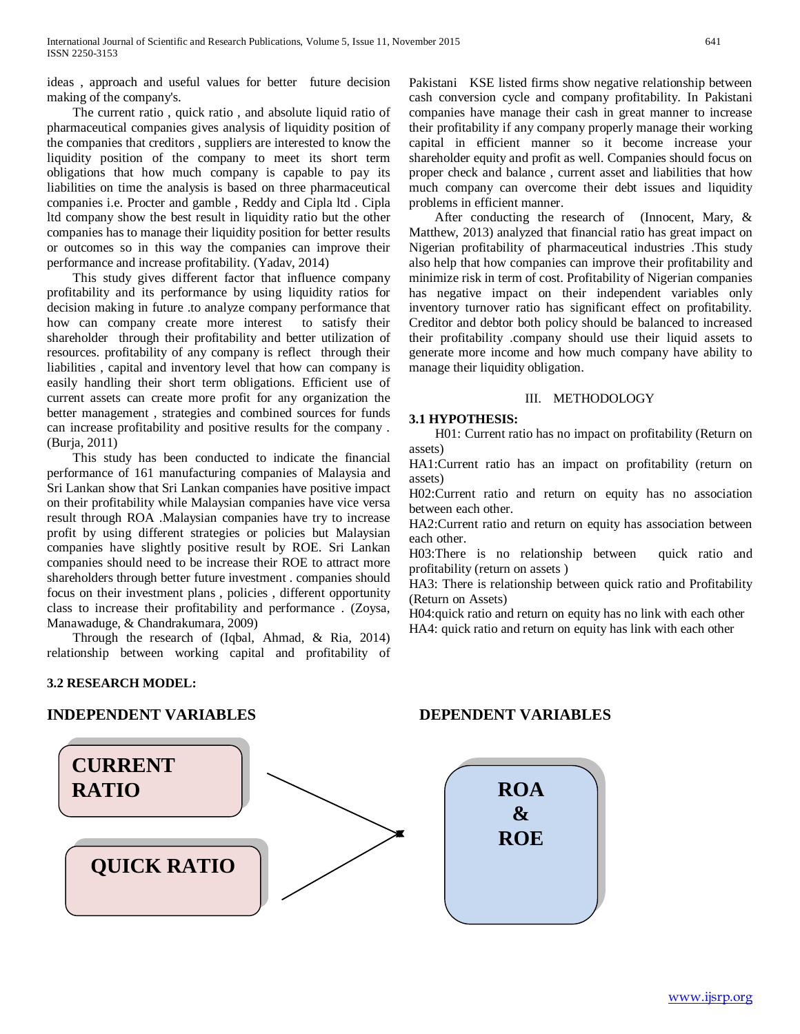ideas , approach and useful values for better future decision making of the company's.

 The current ratio , quick ratio , and absolute liquid ratio of pharmaceutical companies gives analysis of liquidity position of the companies that creditors , suppliers are interested to know the liquidity position of the company to meet its short term obligations that how much company is capable to pay its liabilities on time the analysis is based on three pharmaceutical companies i.e. Procter and gamble , Reddy and Cipla ltd . Cipla ltd company show the best result in liquidity ratio but the other companies has to manage their liquidity position for better results or outcomes so in this way the companies can improve their performance and increase profitability. (Yadav, 2014)

 This study gives different factor that influence company profitability and its performance by using liquidity ratios for decision making in future .to analyze company performance that how can company create more interest to satisfy their shareholder through their profitability and better utilization of resources. profitability of any company is reflect through their liabilities , capital and inventory level that how can company is easily handling their short term obligations. Efficient use of current assets can create more profit for any organization the better management , strategies and combined sources for funds can increase profitability and positive results for the company . (Burja, 2011)

 This study has been conducted to indicate the financial performance of 161 manufacturing companies of Malaysia and Sri Lankan show that Sri Lankan companies have positive impact on their profitability while Malaysian companies have vice versa result through ROA .Malaysian companies have try to increase profit by using different strategies or policies but Malaysian companies have slightly positive result by ROE. Sri Lankan companies should need to be increase their ROE to attract more shareholders through better future investment . companies should focus on their investment plans , policies , different opportunity class to increase their profitability and performance . (Zoysa, Manawaduge, & Chandrakumara, 2009)

 Through the research of (Iqbal, Ahmad, & Ria, 2014) relationship between working capital and profitability of

# **3.2 RESEARCH MODEL:**

# **INDEPENDENT VARIABLES DEPENDENT VARIABLES**



Pakistani KSE listed firms show negative relationship between cash conversion cycle and company profitability. In Pakistani companies have manage their cash in great manner to increase their profitability if any company properly manage their working capital in efficient manner so it become increase your shareholder equity and profit as well. Companies should focus on proper check and balance , current asset and liabilities that how much company can overcome their debt issues and liquidity problems in efficient manner.

 After conducting the research of (Innocent, Mary, & Matthew, 2013) analyzed that financial ratio has great impact on Nigerian profitability of pharmaceutical industries .This study also help that how companies can improve their profitability and minimize risk in term of cost. Profitability of Nigerian companies has negative impact on their independent variables only inventory turnover ratio has significant effect on profitability. Creditor and debtor both policy should be balanced to increased their profitability .company should use their liquid assets to generate more income and how much company have ability to manage their liquidity obligation.

# III. METHODOLOGY

#### **3.1 HYPOTHESIS:**

 H01: Current ratio has no impact on profitability (Return on assets)

HA1:Current ratio has an impact on profitability (return on assets)

H02:Current ratio and return on equity has no association between each other.

HA2:Current ratio and return on equity has association between each other.

H03:There is no relationship between quick ratio and profitability (return on assets )

HA3: There is relationship between quick ratio and Profitability (Return on Assets)

H04:quick ratio and return on equity has no link with each other HA4: quick ratio and return on equity has link with each other

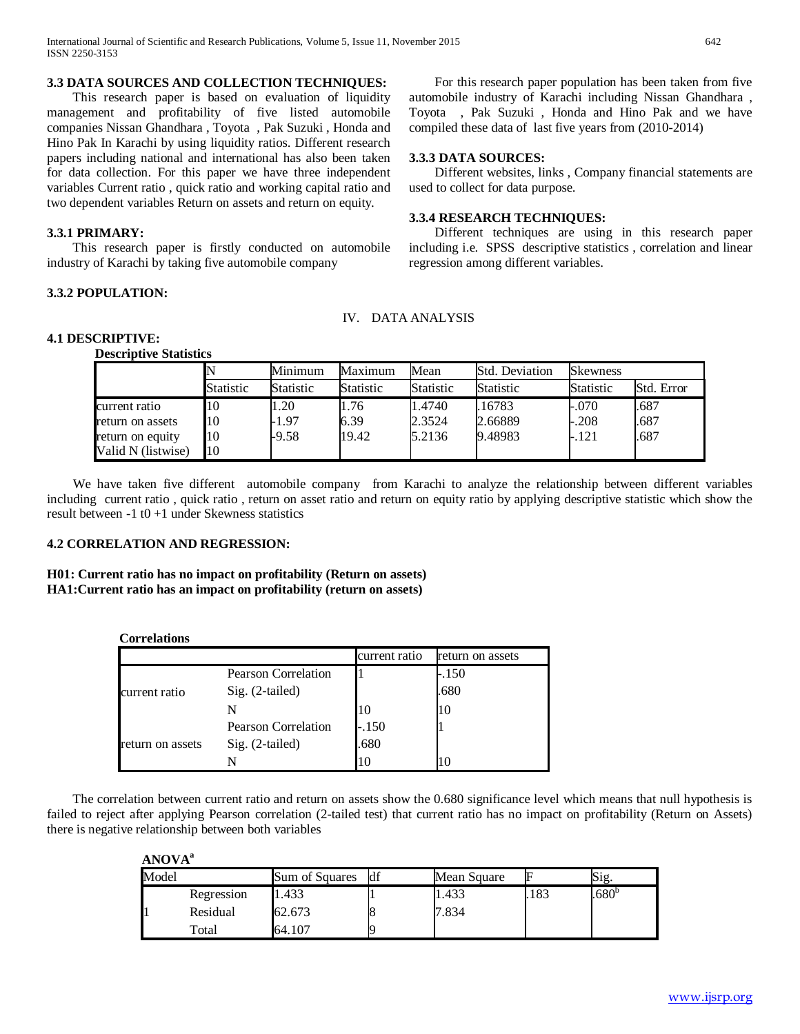### **3.3 DATA SOURCES AND COLLECTION TECHNIQUES:**

 This research paper is based on evaluation of liquidity management and profitability of five listed automobile companies Nissan Ghandhara , Toyota , Pak Suzuki , Honda and Hino Pak In Karachi by using liquidity ratios. Different research papers including national and international has also been taken for data collection. For this paper we have three independent variables Current ratio , quick ratio and working capital ratio and two dependent variables Return on assets and return on equity.

# **3.3.1 PRIMARY:**

 This research paper is firstly conducted on automobile industry of Karachi by taking five automobile company

# **3.3.2 POPULATION:**

 For this research paper population has been taken from five automobile industry of Karachi including Nissan Ghandhara , Toyota , Pak Suzuki , Honda and Hino Pak and we have compiled these data of last five years from (2010-2014)

#### **3.3.3 DATA SOURCES:**

 Different websites, links , Company financial statements are used to collect for data purpose.

### **3.3.4 RESEARCH TECHNIQUES:**

 Different techniques are using in this research paper including i.e. SPSS descriptive statistics , correlation and linear regression among different variables.

# IV. DATA ANALYSIS

### **4.1 DESCRIPTIVE:**

**Descriptive Statistics**

|                    |           | Minimum          | Maximum          | Mean             | Std. Deviation | <b>Skewness</b>  |            |
|--------------------|-----------|------------------|------------------|------------------|----------------|------------------|------------|
|                    | Statistic | <b>Statistic</b> | <b>Statistic</b> | <b>Statistic</b> | Statistic      | <b>Statistic</b> | Std. Error |
| current ratio      | 10        | 1.20             | 1.76             | 1.4740           | .16783         | $-.070$          | .687       |
| return on assets   | 10        | $-1.97$          | 6.39             | 2.3524           | 2.66889        | $-.208$          | .687       |
| return on equity   | 10        | $-9.58$          | 19.42            | 5.2136           | 9.48983        | $-.121$          | .687       |
| Valid N (listwise) | 10        |                  |                  |                  |                |                  |            |

 We have taken five different automobile company from Karachi to analyze the relationship between different variables including current ratio , quick ratio , return on asset ratio and return on equity ratio by applying descriptive statistic which show the result between  $-1$  t $0 + 1$  under Skewness statistics

#### **4.2 CORRELATION AND REGRESSION:**

**H01: Current ratio has no impact on profitability (Return on assets) HA1:Current ratio has an impact on profitability (return on assets)**

|                  |                     | current ratio | return on assets |
|------------------|---------------------|---------------|------------------|
| current ratio    | Pearson Correlation |               | -.150            |
|                  | Sig. (2-tailed)     |               | .680             |
|                  |                     | 10            | 10               |
| return on assets | Pearson Correlation | $-.150$       |                  |
|                  | Sig. (2-tailed)     | .680          |                  |
|                  |                     | 10            | 10               |

 The correlation between current ratio and return on assets show the 0.680 significance level which means that null hypothesis is failed to reject after applying Pearson correlation (2-tailed test) that current ratio has no impact on profitability (Return on Assets) there is negative relationship between both variables

**ANOVAa**

| Model |            | Sum of Squares | df | Mean Square | IF  | Sig.              |
|-------|------------|----------------|----|-------------|-----|-------------------|
|       | Regression | 1.433          |    | 1.433       | 183 | .680 <sup>b</sup> |
|       | Residual   | 62.673         |    | 7.834       |     |                   |
|       | Total      | 64.107         |    |             |     |                   |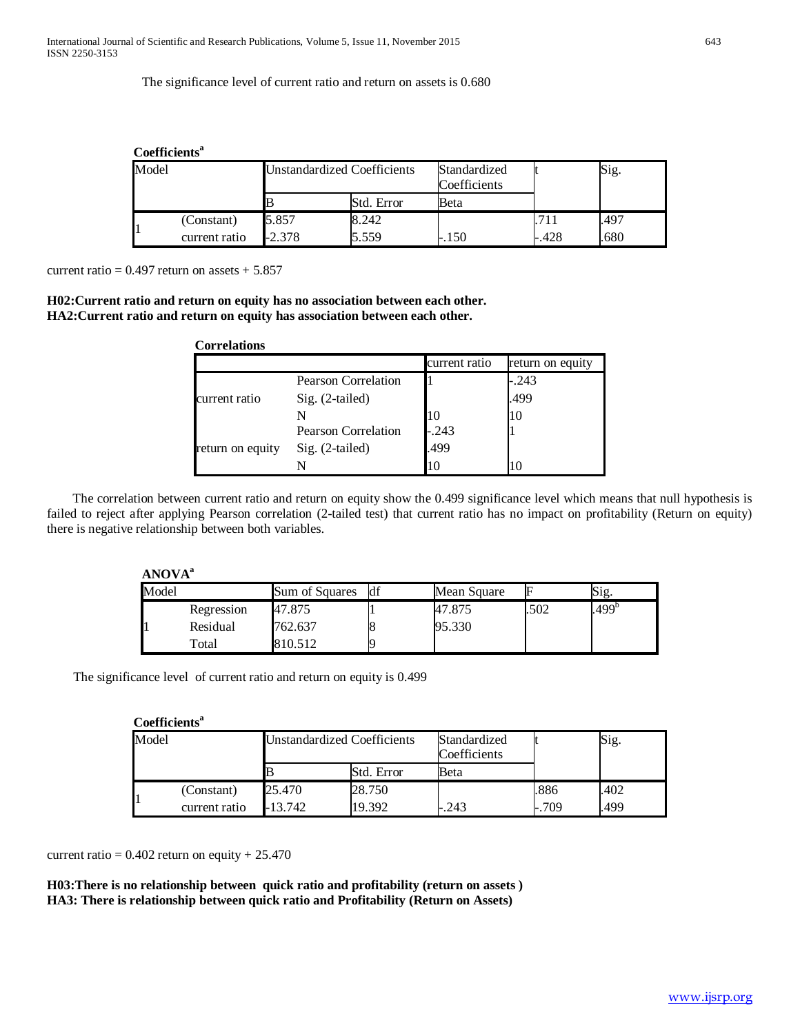The significance level of current ratio and return on assets is 0.680

| Coefficients <sup>a</sup> |               |                                    |            |                              |      |      |  |
|---------------------------|---------------|------------------------------------|------------|------------------------------|------|------|--|
| Model                     |               | <b>Unstandardized Coefficients</b> |            | Standardized<br>Coefficients |      | Sig. |  |
|                           |               |                                    | Std. Error | Beta                         |      |      |  |
|                           | (Constant)    | 5.857                              | 8.242      |                              |      | .497 |  |
|                           | current ratio | $-2.378$                           | 5.559      | $-.150$                      | .428 | .680 |  |

current ratio =  $0.497$  return on assets +  $5.857$ 

**H02:Current ratio and return on equity has no association between each other. HA2:Current ratio and return on equity has association between each other.**

| <b>Correlations</b> |                            |               |                  |
|---------------------|----------------------------|---------------|------------------|
|                     |                            | current ratio | return on equity |
|                     | <b>Pearson Correlation</b> |               | -.243            |
| current ratio       | Sig. (2-tailed)            |               | .499             |
|                     |                            | 10            | 10               |
|                     | Pearson Correlation        | $-.243$       |                  |
| return on equity    | Sig. (2-tailed)            | .499          |                  |
|                     |                            | 10            |                  |

 The correlation between current ratio and return on equity show the 0.499 significance level which means that null hypothesis is failed to reject after applying Pearson correlation (2-tailed test) that current ratio has no impact on profitability (Return on equity) there is negative relationship between both variables.

**ANOVAa**

| Model |            | Sum of Squares | <b>d</b> f | Mean Square | F    | Sig.              |
|-------|------------|----------------|------------|-------------|------|-------------------|
|       | Regression | 47.875         |            | 47.875      | .502 | .499 <sup>b</sup> |
|       | Residual   | 762.637        |            | 95.330      |      |                   |
|       | Total      | 810.512        |            |             |      |                   |

The significance level of current ratio and return on equity is 0.499

### **Coefficientsa**

| Model |               | <b>Unstandardized Coefficients</b> |            | Standardized<br>Coefficients |      | Sig. |
|-------|---------------|------------------------------------|------------|------------------------------|------|------|
|       |               |                                    | Std. Error | Beta                         |      |      |
|       | (Constant)    | 25.470                             | 28.750     |                              | .886 | .402 |
|       | current ratio | 13.742                             | 19.392     | .243                         | .709 | 499  |

current ratio =  $0.402$  return on equity +  $25.470$ 

**H03:There is no relationship between quick ratio and profitability (return on assets ) HA3: There is relationship between quick ratio and Profitability (Return on Assets)**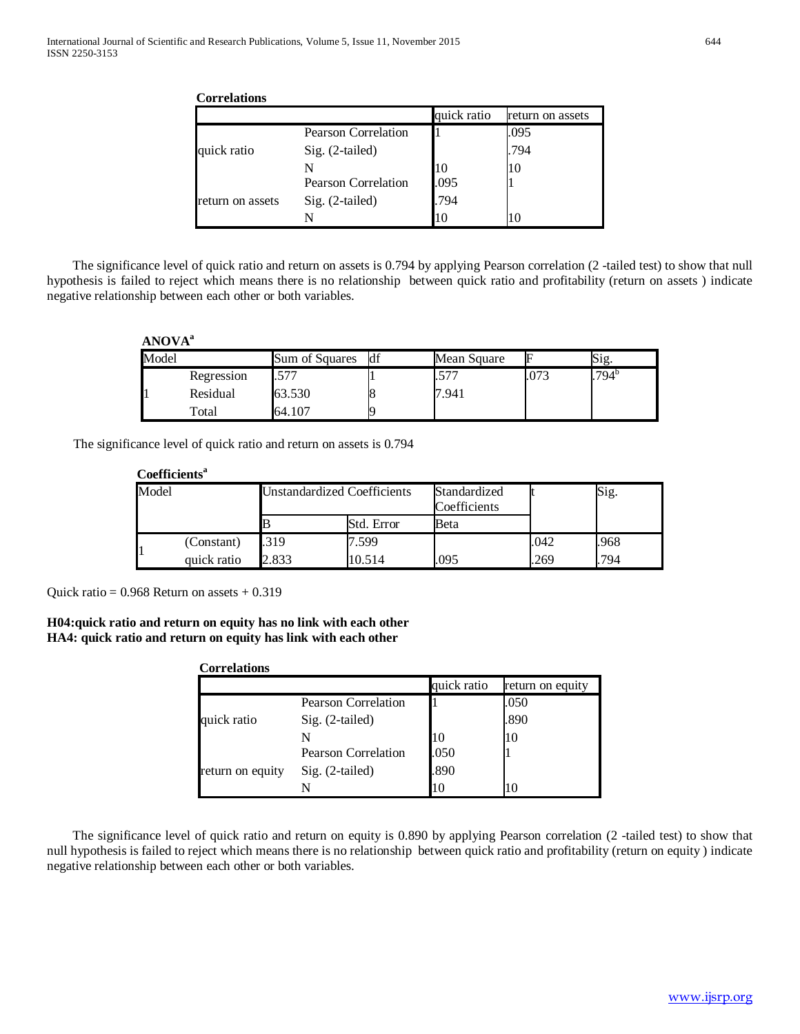| <b>Correlations</b> |                            |             |                  |  |  |  |
|---------------------|----------------------------|-------------|------------------|--|--|--|
|                     |                            | quick ratio | return on assets |  |  |  |
|                     | <b>Pearson Correlation</b> |             | .095             |  |  |  |
| quick ratio         | Sig. (2-tailed)            |             | .794             |  |  |  |
|                     | N                          | 10          | 10               |  |  |  |
|                     | <b>Pearson Correlation</b> | .095        |                  |  |  |  |
| return on assets    | Sig. (2-tailed)            | .794        |                  |  |  |  |
|                     | N                          | 10          | 10               |  |  |  |

 The significance level of quick ratio and return on assets is 0.794 by applying Pearson correlation (2 -tailed test) to show that null hypothesis is failed to reject which means there is no relationship between quick ratio and profitability (return on assets ) indicate negative relationship between each other or both variables.

# **ANOVAa**

| Model |            | Sum of Squares | <b>d</b> f | Mean Square | ь | Sig.  |
|-------|------------|----------------|------------|-------------|---|-------|
|       | Regression | $.57-$         |            | -71         |   | .794° |
|       | Residual   | 63.530         |            | 7.941       |   |       |
|       | Total      | 64.107         |            |             |   |       |

The significance level of quick ratio and return on assets is 0.794

## Coefficients<sup>a</sup>

| Model |             | <b>Unstandardized Coefficients</b> |            | Standardized<br>Coefficients |      | Sig. |
|-------|-------------|------------------------------------|------------|------------------------------|------|------|
|       |             |                                    | Std. Error | Beta                         |      |      |
|       | (Constant)  | .319                               | 7.599      |                              | .042 | .968 |
|       | quick ratio | 2.833                              | 10.514     | .095                         | .269 | 794  |

Quick ratio =  $0.968$  Return on assets  $+0.319$ 

**H04:quick ratio and return on equity has no link with each other HA4: quick ratio and return on equity has link with each other**

| <b>Correlations</b> |                            |             |                  |
|---------------------|----------------------------|-------------|------------------|
|                     |                            | quick ratio | return on equity |
|                     | <b>Pearson Correlation</b> |             | .050             |
| quick ratio         | Sig. (2-tailed)            |             | .890             |
|                     | N                          |             | ПO               |
|                     | <b>Pearson Correlation</b> | .050        |                  |
| return on equity    | Sig. (2-tailed)            | .890        |                  |
|                     | N                          | 10          | Ю                |

 The significance level of quick ratio and return on equity is 0.890 by applying Pearson correlation (2 -tailed test) to show that null hypothesis is failed to reject which means there is no relationship between quick ratio and profitability (return on equity ) indicate negative relationship between each other or both variables.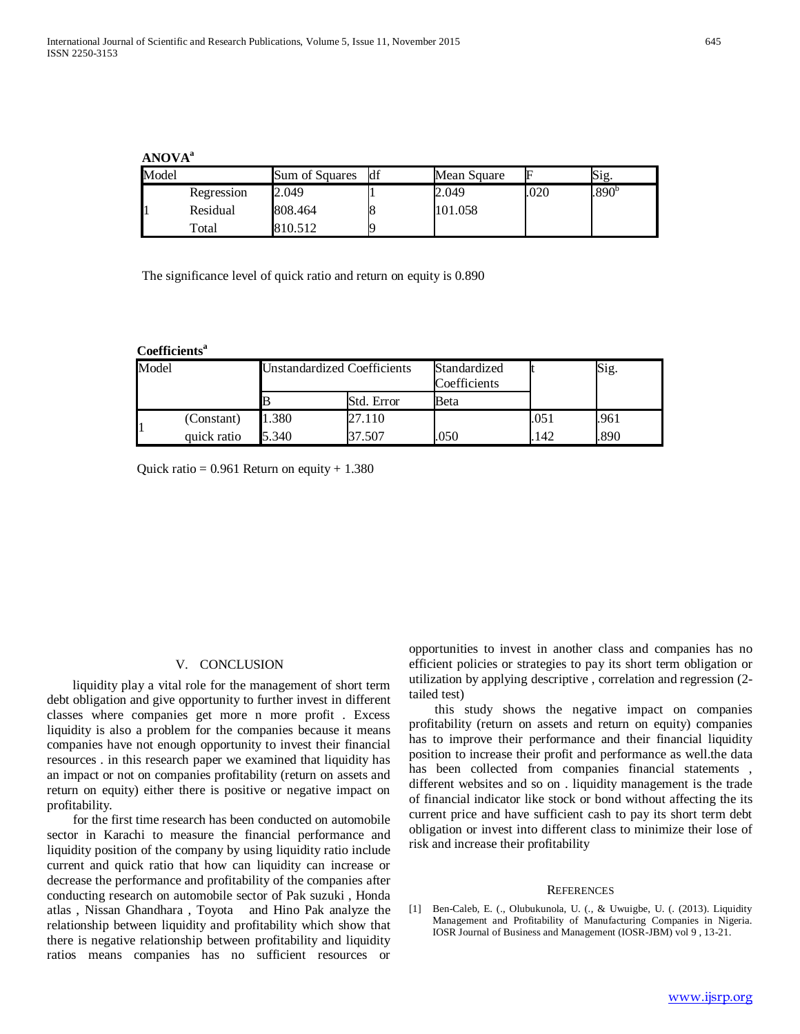# **ANOVAa**

| Model |            | Sum of Squares | <b>df</b> | Mean Square |      | Sig.           |
|-------|------------|----------------|-----------|-------------|------|----------------|
|       | Regression | 2.049          |           | 2.049       | .020 | $.890^{\circ}$ |
| 1     | Residual   | 808.464        |           | 101.058     |      |                |
|       | Total      | 810.512        |           |             |      |                |

The significance level of quick ratio and return on equity is 0.890

#### **Coefficientsa**

| Model |             | <b>Unstandardized Coefficients</b> |            | Standardized<br>Coefficients |      | Sig. |
|-------|-------------|------------------------------------|------------|------------------------------|------|------|
|       |             |                                    | Std. Error | Beta                         |      |      |
|       | (Constant)  | 1.380                              | 27.110     |                              | .051 | .961 |
|       | quick ratio | 5.340                              | $-507$     | 050                          | 142  | 890  |

Quick ratio =  $0.961$  Return on equity + 1.380

#### V. CONCLUSION

 liquidity play a vital role for the management of short term debt obligation and give opportunity to further invest in different classes where companies get more n more profit . Excess liquidity is also a problem for the companies because it means companies have not enough opportunity to invest their financial resources . in this research paper we examined that liquidity has an impact or not on companies profitability (return on assets and return on equity) either there is positive or negative impact on profitability.

 for the first time research has been conducted on automobile sector in Karachi to measure the financial performance and liquidity position of the company by using liquidity ratio include current and quick ratio that how can liquidity can increase or decrease the performance and profitability of the companies after conducting research on automobile sector of Pak suzuki , Honda atlas , Nissan Ghandhara , Toyota and Hino Pak analyze the relationship between liquidity and profitability which show that there is negative relationship between profitability and liquidity ratios means companies has no sufficient resources or

opportunities to invest in another class and companies has no efficient policies or strategies to pay its short term obligation or utilization by applying descriptive , correlation and regression (2 tailed test)

 this study shows the negative impact on companies profitability (return on assets and return on equity) companies has to improve their performance and their financial liquidity position to increase their profit and performance as well.the data has been collected from companies financial statements , different websites and so on . liquidity management is the trade of financial indicator like stock or bond without affecting the its current price and have sufficient cash to pay its short term debt obligation or invest into different class to minimize their lose of risk and increase their profitability

#### **REFERENCES**

[1] Ben-Caleb, E. (., Olubukunola, U. (., & Uwuigbe, U. (. (2013). Liquidity Management and Profitability of Manufacturing Companies in Nigeria. IOSR Journal of Business and Management (IOSR-JBM) vol 9 , 13-21.